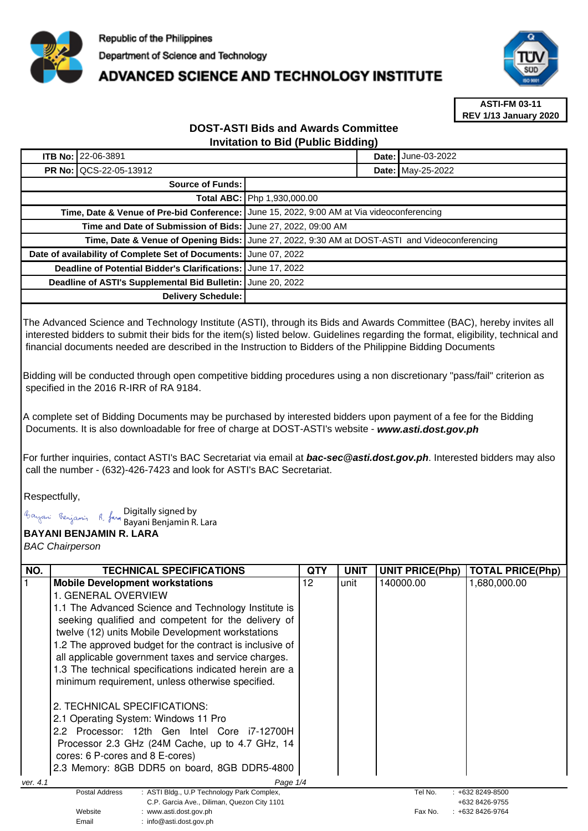

## **ADVANCED SCIENCE AND TECHNOLOGY INSTITUTE**



**ASTI-FM 03-11 REV 1/13 January 2020**

## **DOST-ASTI Bids and Awards Committee Invitation to Bid (Public Bidding)**

| <b>ITB No: 22-06-3891</b>                                        | <b>Date: June-03-2022</b>                                                                     |  |  |
|------------------------------------------------------------------|-----------------------------------------------------------------------------------------------|--|--|
| <b>PR No: QCS-22-05-13912</b>                                    | <b>Date: May-25-2022</b>                                                                      |  |  |
| <b>Source of Funds:</b>                                          |                                                                                               |  |  |
|                                                                  | <b>Total ABC:   Php 1,930,000.00</b>                                                          |  |  |
|                                                                  | Time, Date & Venue of Pre-bid Conference: June 15, 2022, 9:00 AM at Via videoconferencing     |  |  |
| Time and Date of Submission of Bids: June 27, 2022, 09:00 AM     |                                                                                               |  |  |
|                                                                  | Time, Date & Venue of Opening Bids: June 27, 2022, 9:30 AM at DOST-ASTI and Videoconferencing |  |  |
| Date of availability of Complete Set of Documents: June 07, 2022 |                                                                                               |  |  |
| Deadline of Potential Bidder's Clarifications: June 17, 2022     |                                                                                               |  |  |
| Deadline of ASTI's Supplemental Bid Bulletin: June 20, 2022      |                                                                                               |  |  |
| Delivery Schedule:                                               |                                                                                               |  |  |

The Advanced Science and Technology Institute (ASTI), through its Bids and Awards Committee (BAC), hereby invites all interested bidders to submit their bids for the item(s) listed below. Guidelines regarding the format, eligibility, technical and financial documents needed are described in the Instruction to Bidders of the Philippine Bidding Documents

Bidding will be conducted through open competitive bidding procedures using a non discretionary "pass/fail" criterion as specified in the 2016 R-IRR of RA 9184.

A complete set of Bidding Documents may be purchased by interested bidders upon payment of a fee for the Bidding Documents. It is also downloadable for free of charge at DOST-ASTI's website - **www.asti.dost.gov.ph**

For further inquiries, contact ASTI's BAC Secretariat via email at **bac-sec@asti.dost.gov.ph**. Interested bidders may also call the number - (632)-426-7423 and look for ASTI's BAC Secretariat.

Respectfully,

Digitally signed by

Bayani Benjamin R. Lara

Email : info@asti.dost.gov.ph

**BAYANI BENJAMIN R. LARA** 

BAC Chairperson

| NO.      | <b>TECHNICAL SPECIFICATIONS</b>                              | <b>QTY</b> | <b>UNIT</b> | <b>UNIT PRICE(Php)</b> | <b>TOTAL PRICE(Php)</b> |
|----------|--------------------------------------------------------------|------------|-------------|------------------------|-------------------------|
|          | <b>Mobile Development workstations</b>                       | 12         | unit        | 140000.00              | 1,680,000.00            |
|          | 1. GENERAL OVERVIEW                                          |            |             |                        |                         |
|          | 1.1 The Advanced Science and Technology Institute is         |            |             |                        |                         |
|          | seeking qualified and competent for the delivery of          |            |             |                        |                         |
|          | twelve (12) units Mobile Development workstations            |            |             |                        |                         |
|          | 1.2 The approved budget for the contract is inclusive of     |            |             |                        |                         |
|          | all applicable government taxes and service charges.         |            |             |                        |                         |
|          | 1.3 The technical specifications indicated herein are a      |            |             |                        |                         |
|          | minimum requirement, unless otherwise specified.             |            |             |                        |                         |
|          |                                                              |            |             |                        |                         |
|          | 2. TECHNICAL SPECIFICATIONS:                                 |            |             |                        |                         |
|          | 2.1 Operating System: Windows 11 Pro                         |            |             |                        |                         |
|          | 2.2 Processor: 12th Gen Intel Core i7-12700H                 |            |             |                        |                         |
|          | Processor 2.3 GHz (24M Cache, up to 4.7 GHz, 14              |            |             |                        |                         |
|          | cores: 6 P-cores and 8 E-cores)                              |            |             |                        |                         |
|          | 2.3 Memory: 8GB DDR5 on board, 8GB DDR5-4800                 |            |             |                        |                         |
| ver. 4.1 | Page 1/4                                                     |            |             |                        |                         |
|          | Postal Address<br>: ASTI Bldg., U.P Technology Park Complex, |            |             | Tel No.                | $: +6328249 - 8500$     |
|          | C.P. Garcia Ave., Diliman, Quezon City 1101                  |            |             |                        | +632 8426-9755          |
|          | Website<br>www.asti.dost.gov.ph                              |            |             | Fax No.                | +632 8426-9764          |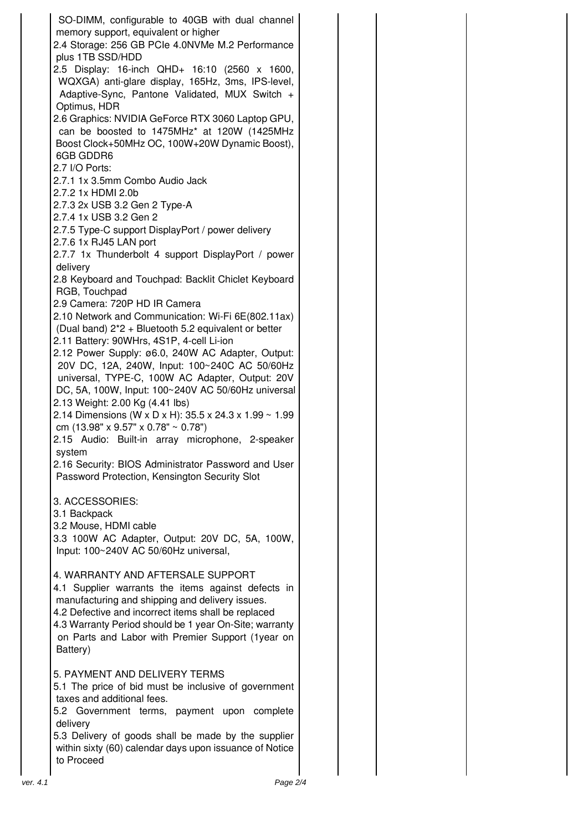| SO-DIMM, configurable to 40GB with dual channel<br>memory support, equivalent or higher<br>2.4 Storage: 256 GB PCIe 4.0NVMe M.2 Performance<br>plus 1TB SSD/HDD                                                                                                                                                              |
|------------------------------------------------------------------------------------------------------------------------------------------------------------------------------------------------------------------------------------------------------------------------------------------------------------------------------|
| 2.5 Display: 16-inch QHD+ 16:10 (2560 x 1600,<br>WQXGA) anti-glare display, 165Hz, 3ms, IPS-level,<br>Adaptive-Sync, Pantone Validated, MUX Switch +<br>Optimus, HDR                                                                                                                                                         |
| 2.6 Graphics: NVIDIA GeForce RTX 3060 Laptop GPU,<br>can be boosted to 1475MHz* at 120W (1425MHz<br>Boost Clock+50MHz OC, 100W+20W Dynamic Boost),<br>6GB GDDR6                                                                                                                                                              |
| 2.7 I/O Ports:<br>2.7.1 1x 3.5mm Combo Audio Jack<br>2.7.2 1x HDMI 2.0b<br>2.7.3 2x USB 3.2 Gen 2 Type-A<br>2.7.4 1x USB 3.2 Gen 2                                                                                                                                                                                           |
| 2.7.5 Type-C support DisplayPort / power delivery<br>2.7.6 1x RJ45 LAN port<br>2.7.7 1x Thunderbolt 4 support DisplayPort / power                                                                                                                                                                                            |
| delivery<br>2.8 Keyboard and Touchpad: Backlit Chiclet Keyboard<br>RGB, Touchpad                                                                                                                                                                                                                                             |
| 2.9 Camera: 720P HD IR Camera<br>2.10 Network and Communication: Wi-Fi 6E(802.11ax)<br>(Dual band) 2*2 + Bluetooth 5.2 equivalent or better<br>2.11 Battery: 90WHrs, 4S1P, 4-cell Li-ion                                                                                                                                     |
| 2.12 Power Supply: ø6.0, 240W AC Adapter, Output:<br>20V DC, 12A, 240W, Input: 100~240C AC 50/60Hz<br>universal, TYPE-C, 100W AC Adapter, Output: 20V<br>DC, 5A, 100W, Input: 100~240V AC 50/60Hz universal<br>2.13 Weight: 2.00 Kg (4.41 lbs)<br>2.14 Dimensions (W x D x H): 35.5 x 24.3 x 1.99 ~ 1.99                     |
| cm $(13.98" \times 9.57" \times 0.78" \sim 0.78")$<br>2.15 Audio: Built-in array microphone, 2-speaker<br>svstem                                                                                                                                                                                                             |
| 2.16 Security: BIOS Administrator Password and User<br>Password Protection, Kensington Security Slot                                                                                                                                                                                                                         |
| 3. ACCESSORIES:<br>3.1 Backpack<br>3.2 Mouse, HDMI cable<br>3.3 100W AC Adapter, Output: 20V DC, 5A, 100W,<br>Input: 100~240V AC 50/60Hz universal,                                                                                                                                                                          |
| 4. WARRANTY AND AFTERSALE SUPPORT<br>4.1 Supplier warrants the items against defects in<br>manufacturing and shipping and delivery issues.<br>4.2 Defective and incorrect items shall be replaced<br>4.3 Warranty Period should be 1 year On-Site; warranty<br>on Parts and Labor with Premier Support (1year on<br>Battery) |
| 5. PAYMENT AND DELIVERY TERMS<br>5.1 The price of bid must be inclusive of government<br>taxes and additional fees.<br>5.2 Government terms, payment upon complete<br>delivery                                                                                                                                               |
| 5.3 Delivery of goods shall be made by the supplier<br>within sixty (60) calendar days upon issuance of Notice<br>to Proceed                                                                                                                                                                                                 |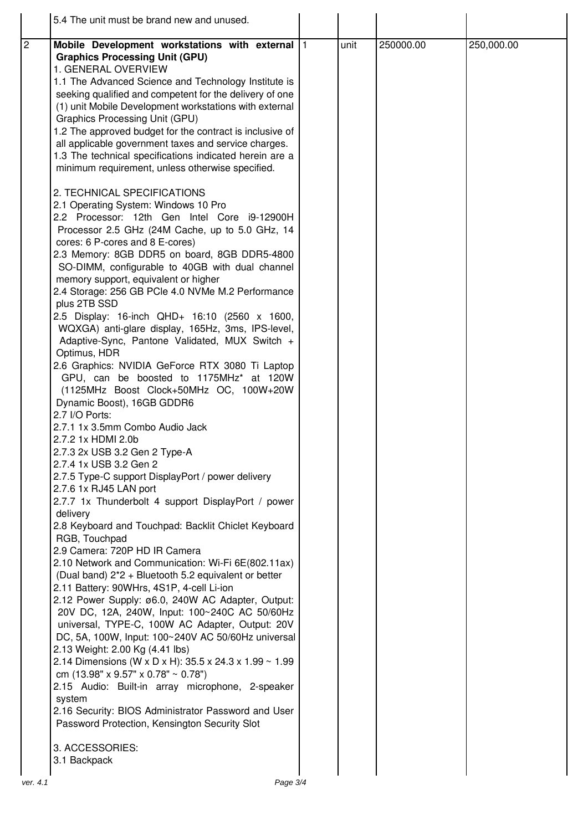|                | 5.4 The unit must be brand new and unused.                                                                                                                                                                                                                                                                                                                                                                                                                                                                                                                                                        |      |           |            |
|----------------|---------------------------------------------------------------------------------------------------------------------------------------------------------------------------------------------------------------------------------------------------------------------------------------------------------------------------------------------------------------------------------------------------------------------------------------------------------------------------------------------------------------------------------------------------------------------------------------------------|------|-----------|------------|
| $\overline{2}$ | Mobile Development workstations with external  1<br><b>Graphics Processing Unit (GPU)</b><br>1. GENERAL OVERVIEW<br>1.1 The Advanced Science and Technology Institute is<br>seeking qualified and competent for the delivery of one<br>(1) unit Mobile Development workstations with external<br>Graphics Processing Unit (GPU)<br>1.2 The approved budget for the contract is inclusive of<br>all applicable government taxes and service charges.<br>1.3 The technical specifications indicated herein are a<br>minimum requirement, unless otherwise specified.<br>2. TECHNICAL SPECIFICATIONS | unit | 250000.00 | 250,000.00 |
|                | 2.1 Operating System: Windows 10 Pro<br>2.2 Processor: 12th Gen Intel Core i9-12900H<br>Processor 2.5 GHz (24M Cache, up to 5.0 GHz, 14<br>cores: 6 P-cores and 8 E-cores)<br>2.3 Memory: 8GB DDR5 on board, 8GB DDR5-4800<br>SO-DIMM, configurable to 40GB with dual channel<br>memory support, equivalent or higher<br>2.4 Storage: 256 GB PCle 4.0 NVMe M.2 Performance<br>plus 2TB SSD                                                                                                                                                                                                        |      |           |            |
|                | 2.5 Display: 16-inch QHD+ 16:10 (2560 x 1600,<br>WQXGA) anti-glare display, 165Hz, 3ms, IPS-level,<br>Adaptive-Sync, Pantone Validated, MUX Switch +<br>Optimus, HDR<br>2.6 Graphics: NVIDIA GeForce RTX 3080 Ti Laptop<br>GPU, can be boosted to 1175MHz* at 120W<br>(1125MHz Boost Clock+50MHz OC, 100W+20W<br>Dynamic Boost), 16GB GDDR6<br>2.7 I/O Ports:                                                                                                                                                                                                                                     |      |           |            |
|                | 2.7.1 1x 3.5mm Combo Audio Jack<br>2.7.2 1x HDMI 2.0b<br>2.7.3 2x USB 3.2 Gen 2 Type-A<br>2.7.4 1x USB 3.2 Gen 2<br>2.7.5 Type-C support DisplayPort / power delivery<br>2.7.6 1x RJ45 LAN port<br>2.7.7 1x Thunderbolt 4 support DisplayPort / power<br>delivery                                                                                                                                                                                                                                                                                                                                 |      |           |            |
|                | 2.8 Keyboard and Touchpad: Backlit Chiclet Keyboard<br>RGB, Touchpad<br>2.9 Camera: 720P HD IR Camera<br>2.10 Network and Communication: Wi-Fi 6E(802.11ax)<br>(Dual band) 2*2 + Bluetooth 5.2 equivalent or better<br>2.11 Battery: 90WHrs, 4S1P, 4-cell Li-ion<br>2.12 Power Supply: ø6.0, 240W AC Adapter, Output:<br>20V DC, 12A, 240W, Input: 100~240C AC 50/60Hz<br>universal, TYPE-C, 100W AC Adapter, Output: 20V                                                                                                                                                                         |      |           |            |
|                | DC, 5A, 100W, Input: 100~240V AC 50/60Hz universal<br>2.13 Weight: 2.00 Kg (4.41 lbs)<br>2.14 Dimensions (W x D x H): 35.5 x 24.3 x 1.99 ~ 1.99<br>cm (13.98" x 9.57" x 0.78" ~ 0.78")<br>2.15 Audio: Built-in array microphone, 2-speaker<br>system<br>2.16 Security: BIOS Administrator Password and User<br>Password Protection, Kensington Security Slot                                                                                                                                                                                                                                      |      |           |            |
|                | 3. ACCESSORIES:<br>3.1 Backpack                                                                                                                                                                                                                                                                                                                                                                                                                                                                                                                                                                   |      |           |            |
| ver. 4.1       | Page 3/4                                                                                                                                                                                                                                                                                                                                                                                                                                                                                                                                                                                          |      |           |            |